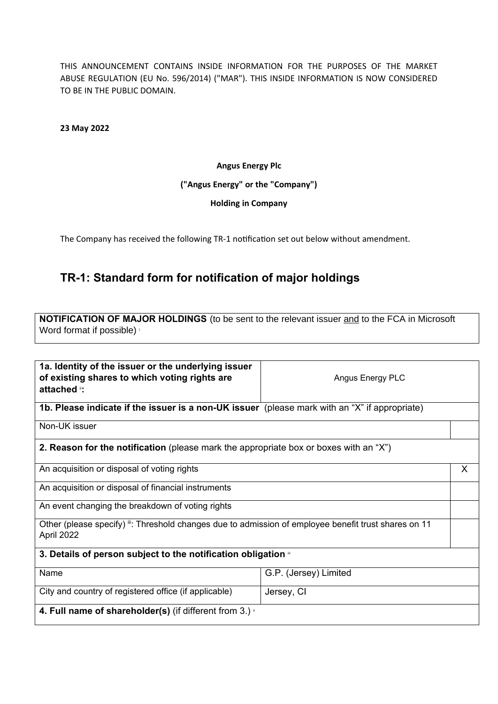THIS ANNOUNCEMENT CONTAINS INSIDE INFORMATION FOR THE PURPOSES OF THE MARKET ABUSE REGULATION (EU No. 596/2014) ("MAR"). THIS INSIDE INFORMATION IS NOW CONSIDERED TO BE IN THE PUBLIC DOMAIN.

**23 May 2022**

### **Angus Energy Plc**

### **("Angus Energy" or the "Company")**

#### **Holding in Company**

The Company has received the following TR-1 notification set out below without amendment.

## **TR-1: Standard form for notification of major holdings**

**NOTIFICATION OF MAJOR HOLDINGS** (to be sent to the relevant issuer and to the FCA in Microsoft Word format if possible) is

| 1a. Identity of the issuer or the underlying issuer<br>of existing shares to which voting rights are<br>attached :: | Angus Energy PLC      |   |  |
|---------------------------------------------------------------------------------------------------------------------|-----------------------|---|--|
| 1b. Please indicate if the issuer is a non-UK issuer (please mark with an "X" if appropriate)                       |                       |   |  |
| Non-UK issuer                                                                                                       |                       |   |  |
| <b>2. Reason for the notification</b> (please mark the appropriate box or boxes with an "X")                        |                       |   |  |
| An acquisition or disposal of voting rights                                                                         |                       | X |  |
| An acquisition or disposal of financial instruments                                                                 |                       |   |  |
| An event changing the breakdown of voting rights                                                                    |                       |   |  |
| Other (please specify) ": Threshold changes due to admission of employee benefit trust shares on 11<br>April 2022   |                       |   |  |
| 3. Details of person subject to the notification obligation $\mathbb{R}$                                            |                       |   |  |
| Name                                                                                                                | G.P. (Jersey) Limited |   |  |
| City and country of registered office (if applicable)                                                               | Jersey, CI            |   |  |
| 4. Full name of shareholder(s) (if different from 3.) $\cdot$                                                       |                       |   |  |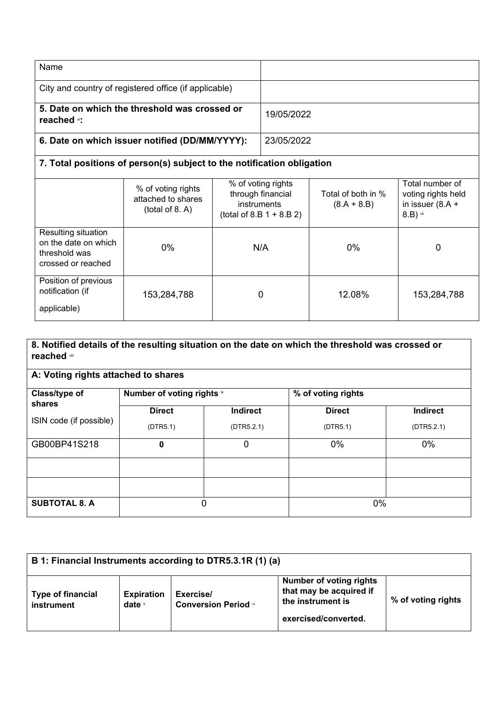| Name                                                                    |            |
|-------------------------------------------------------------------------|------------|
| City and country of registered office (if applicable)                   |            |
| 5. Date on which the threshold was crossed or<br>reached <sub>*</sub> : | 19/05/2022 |
| 6. Date on which issuer notified (DD/MM/YYYY):                          | 23/05/2022 |

# **7. Total positions of person(s) subject to the notification obligation**

|                                                                                    | % of voting rights<br>attached to shares<br>(total of 8. A) | % of voting rights<br>through financial<br>instruments<br>(total of 8.B $1 + 8.B 2$ ) | Total of both in %<br>$(8.A + 8.B)$ | Total number of<br>voting rights held<br>in issuer $(8.A +$<br>$8.B)$ vii |
|------------------------------------------------------------------------------------|-------------------------------------------------------------|---------------------------------------------------------------------------------------|-------------------------------------|---------------------------------------------------------------------------|
| Resulting situation<br>on the date on which<br>threshold was<br>crossed or reached | 0%                                                          | N/A                                                                                   | $0\%$                               | 0                                                                         |
| Position of previous<br>notification (if<br>applicable)                            | 153,284,788                                                 | 0                                                                                     | 12.08%                              | 153,284,788                                                               |

### **8. Notified details of the resulting situation on the date on which the threshold was crossed or reached** viii

| Class/type of<br>shares | Number of voting rights <sup>ix</sup> |            | % of voting rights |                 |
|-------------------------|---------------------------------------|------------|--------------------|-----------------|
|                         | <b>Direct</b>                         | Indirect   | <b>Direct</b>      | <b>Indirect</b> |
| ISIN code (if possible) | (DTR5.1)                              | (DTR5.2.1) | (DTR5.1)           | (DTR5.2.1)      |
| GB00BP41S218            | 0                                     | 0          | 0%                 | $0\%$           |
|                         |                                       |            |                    |                 |
|                         |                                       |            |                    |                 |
| <b>SUBTOTAL 8. A</b>    | 0                                     |            | 0%                 |                 |

| B 1: Financial Instruments according to DTR5.3.1R (1) (a) |                                    |                                          |                                                                                                        |                    |
|-----------------------------------------------------------|------------------------------------|------------------------------------------|--------------------------------------------------------------------------------------------------------|--------------------|
| <b>Type of financial</b><br>instrument                    | <b>Expiration</b><br>date $\times$ | Exercise/<br><b>Conversion Period xi</b> | <b>Number of voting rights</b><br>that may be acquired if<br>the instrument is<br>exercised/converted. | % of voting rights |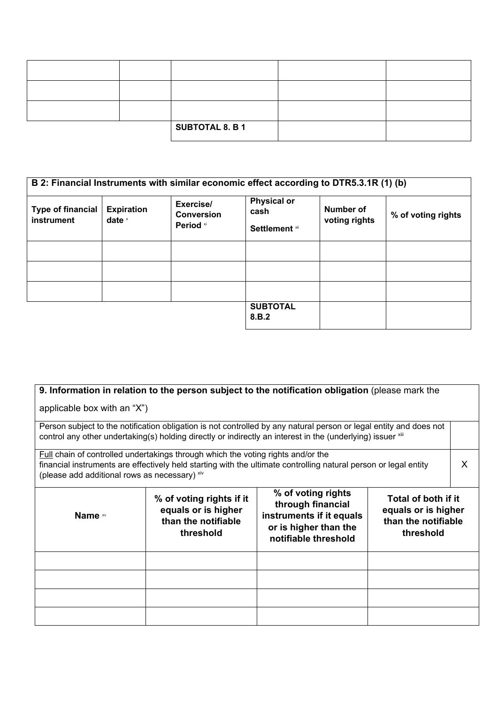|  | <b>SUBTOTAL 8. B 1</b> |  |
|--|------------------------|--|

|                                        |                               |                                             | B 2: Financial Instruments with similar economic effect according to DTR5.3.1R (1) (b) |                            |                    |
|----------------------------------------|-------------------------------|---------------------------------------------|----------------------------------------------------------------------------------------|----------------------------|--------------------|
| <b>Type of financial</b><br>instrument | <b>Expiration</b><br>date $x$ | Exercise/<br><b>Conversion</b><br>Period xi | <b>Physical or</b><br>cash<br><b>Settlement</b> xii                                    | Number of<br>voting rights | % of voting rights |
|                                        |                               |                                             |                                                                                        |                            |                    |
|                                        |                               |                                             |                                                                                        |                            |                    |
|                                        |                               |                                             |                                                                                        |                            |                    |
|                                        |                               |                                             | <b>SUBTOTAL</b><br>8.B.2                                                               |                            |                    |

| applicable box with an "X")                                                                                                                                                                                                                                  |                                                                                                                                                                                                                                                                                               | 9. Information in relation to the person subject to the notification obligation (please mark the |  |   |
|--------------------------------------------------------------------------------------------------------------------------------------------------------------------------------------------------------------------------------------------------------------|-----------------------------------------------------------------------------------------------------------------------------------------------------------------------------------------------------------------------------------------------------------------------------------------------|--------------------------------------------------------------------------------------------------|--|---|
| Person subject to the notification obligation is not controlled by any natural person or legal entity and does not<br>control any other undertaking(s) holding directly or indirectly an interest in the (underlying) issuer xill                            |                                                                                                                                                                                                                                                                                               |                                                                                                  |  |   |
| <b>Full chain of controlled undertakings through which the voting rights and/or the</b><br>financial instruments are effectively held starting with the ultimate controlling natural person or legal entity<br>(please add additional rows as necessary) xiv |                                                                                                                                                                                                                                                                                               |                                                                                                  |  | X |
| Name **                                                                                                                                                                                                                                                      | % of voting rights<br>Total of both if it<br>% of voting rights if it<br>through financial<br>equals or is higher<br>equals or is higher<br>instruments if it equals<br>than the notifiable<br>than the notifiable<br>or is higher than the<br>threshold<br>threshold<br>notifiable threshold |                                                                                                  |  |   |
|                                                                                                                                                                                                                                                              |                                                                                                                                                                                                                                                                                               |                                                                                                  |  |   |
|                                                                                                                                                                                                                                                              |                                                                                                                                                                                                                                                                                               |                                                                                                  |  |   |
|                                                                                                                                                                                                                                                              |                                                                                                                                                                                                                                                                                               |                                                                                                  |  |   |